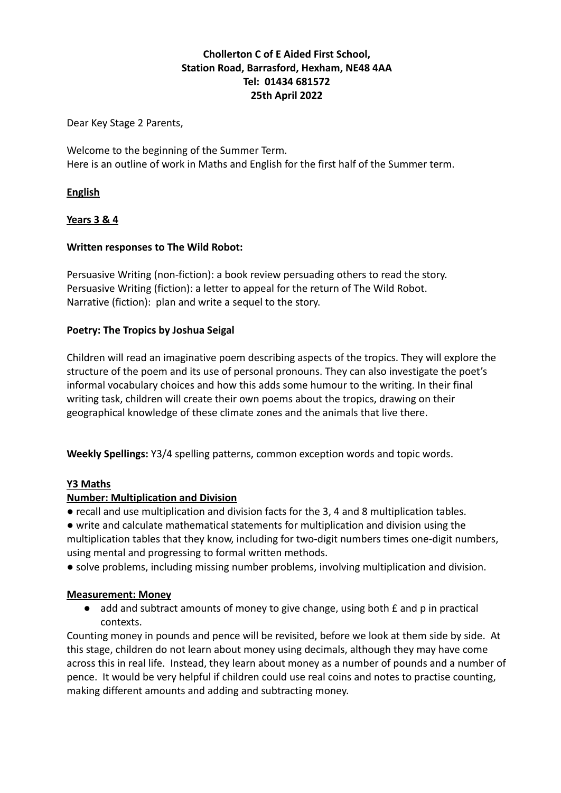# **Chollerton C of E Aided First School, Station Road, Barrasford, Hexham, NE48 4AA Tel: 01434 681572 25th April 2022**

Dear Key Stage 2 Parents,

Welcome to the beginning of the Summer Term. Here is an outline of work in Maths and English for the first half of the Summer term.

# **English**

# **Years 3 & 4**

# **Written responses to The Wild Robot:**

Persuasive Writing (non-fiction): a book review persuading others to read the story. Persuasive Writing (fiction): a letter to appeal for the return of The Wild Robot. Narrative (fiction): plan and write a sequel to the story.

#### **Poetry: The Tropics by Joshua Seigal**

Children will read an imaginative poem describing aspects of the tropics. They will explore the structure of the poem and its use of personal pronouns. They can also investigate the poet's informal vocabulary choices and how this adds some humour to the writing. In their final writing task, children will create their own poems about the tropics, drawing on their geographical knowledge of these climate zones and the animals that live there.

**Weekly Spellings:** Y3/4 spelling patterns, common exception words and topic words.

#### **Y3 Maths**

#### **Number: Multiplication and Division**

- recall and use multiplication and division facts for the 3, 4 and 8 multiplication tables.
- write and calculate mathematical statements for multiplication and division using the multiplication tables that they know, including for two-digit numbers times one-digit numbers, using mental and progressing to formal written methods.

● solve problems, including missing number problems, involving multiplication and division.

#### **Measurement: Money**

● add and subtract amounts of money to give change, using both £ and p in practical contexts.

Counting money in pounds and pence will be revisited, before we look at them side by side. At this stage, children do not learn about money using decimals, although they may have come across this in real life. Instead, they learn about money as a number of pounds and a number of pence. It would be very helpful if children could use real coins and notes to practise counting, making different amounts and adding and subtracting money.